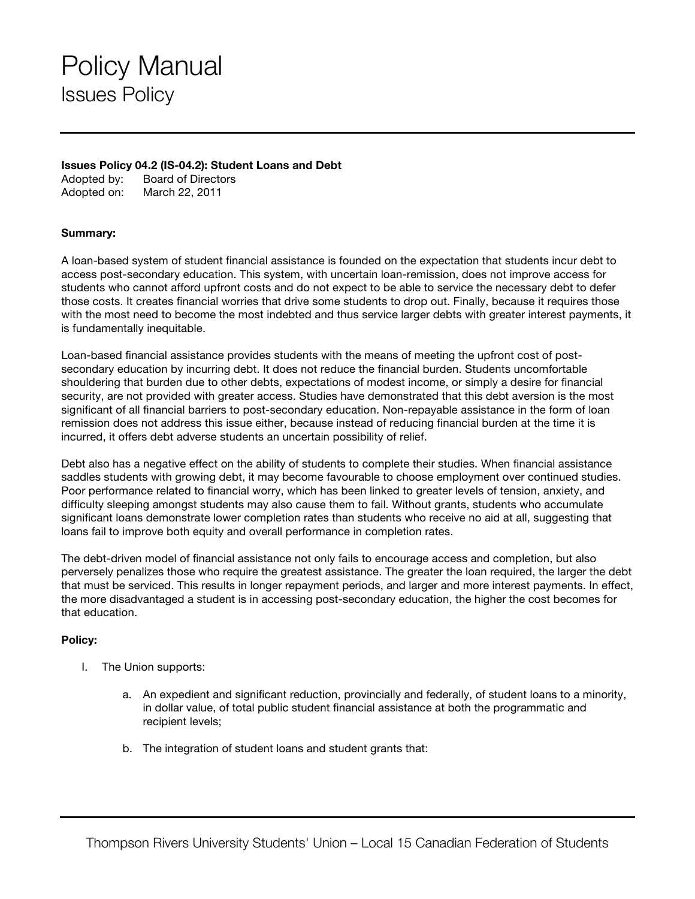## Policy Manual Issues Policy

## **Issues Policy 04.2 (IS-04.2): Student Loans and Debt**

Adopted by: Board of Directors Adopted on: March 22, 2011

## **Summary:**

A loan-based system of student financial assistance is founded on the expectation that students incur debt to access post-secondary education. This system, with uncertain loan-remission, does not improve access for students who cannot afford upfront costs and do not expect to be able to service the necessary debt to defer those costs. It creates financial worries that drive some students to drop out. Finally, because it requires those with the most need to become the most indebted and thus service larger debts with greater interest payments, it is fundamentally inequitable.

Loan-based financial assistance provides students with the means of meeting the upfront cost of postsecondary education by incurring debt. It does not reduce the financial burden. Students uncomfortable shouldering that burden due to other debts, expectations of modest income, or simply a desire for financial security, are not provided with greater access. Studies have demonstrated that this debt aversion is the most significant of all financial barriers to post-secondary education. Non-repayable assistance in the form of loan remission does not address this issue either, because instead of reducing financial burden at the time it is incurred, it offers debt adverse students an uncertain possibility of relief.

Debt also has a negative effect on the ability of students to complete their studies. When financial assistance saddles students with growing debt, it may become favourable to choose employment over continued studies. Poor performance related to financial worry, which has been linked to greater levels of tension, anxiety, and difficulty sleeping amongst students may also cause them to fail. Without grants, students who accumulate significant loans demonstrate lower completion rates than students who receive no aid at all, suggesting that loans fail to improve both equity and overall performance in completion rates.

The debt-driven model of financial assistance not only fails to encourage access and completion, but also perversely penalizes those who require the greatest assistance. The greater the loan required, the larger the debt that must be serviced. This results in longer repayment periods, and larger and more interest payments. In effect, the more disadvantaged a student is in accessing post-secondary education, the higher the cost becomes for that education.

## **Policy:**

- I. The Union supports:
	- a. An expedient and significant reduction, provincially and federally, of student loans to a minority, in dollar value, of total public student financial assistance at both the programmatic and recipient levels;
	- b. The integration of student loans and student grants that: